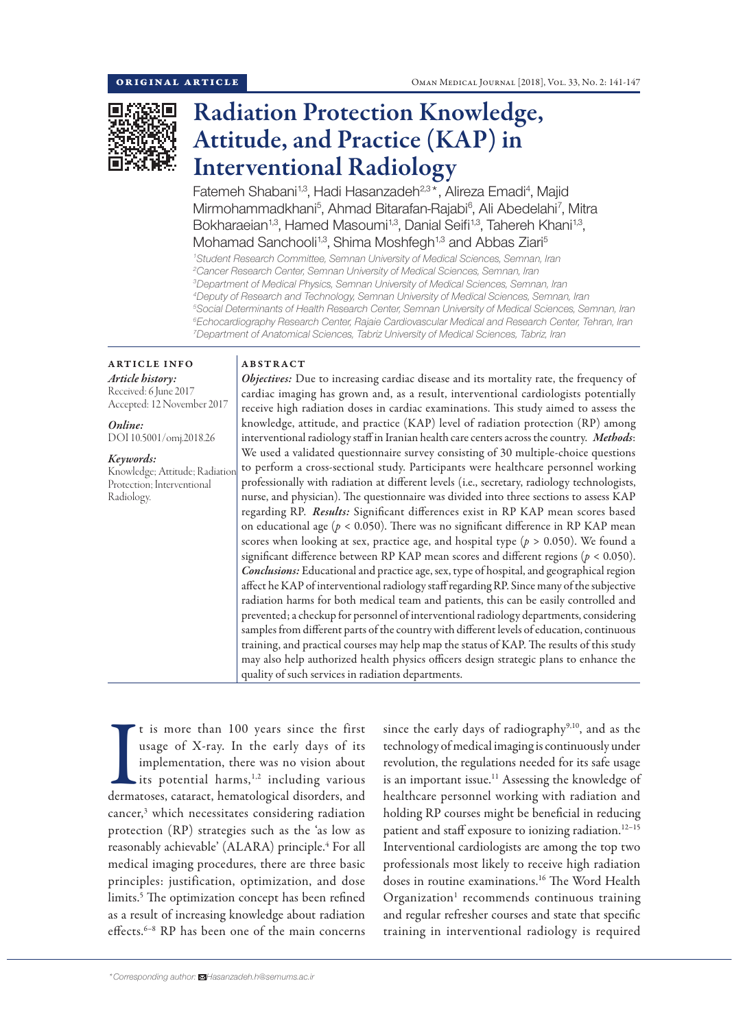

# Radiation Protection Knowledge, Attitude, and Practice (KAP) in Interventional Radiology

Fatemeh Shabani<sup>1,3</sup>, Hadi Hasanzadeh<sup>2,3\*</sup>, Alireza Emadi<sup>4</sup>, Majid Mirmohammadkhani<sup>5</sup>, Ahmad Bitarafan-Rajabi<sup>6</sup>, Ali Abedelahi<sup>7</sup>, Mitra Bokharaeian<sup>1,3</sup>, Hamed Masoumi<sup>1,3</sup>, Danial Seifi<sup>1,3</sup>, Tahereh Khani<sup>1,3</sup>, Mohamad Sanchooli<sup>1,3</sup>, Shima Moshfegh<sup>1,3</sup> and Abbas Ziari<sup>5</sup>

 *Student Research Committee, Semnan University of Medical Sciences, Semnan, Iran Cancer Research Center, Semnan University of Medical Sciences, Semnan, Iran Department of Medical Physics, Semnan University of Medical Sciences, Semnan, Iran Deputy of Research and Technology, Semnan University of Medical Sciences, Semnan, Iran Social Determinants of Health Research Center, Semnan University of Medical Sciences, Semnan, Iran Echocardiography Research Center, Rajaie Cardiovascular Medical and Research Center, Tehran, Iran Department of Anatomical Sciences, Tabriz University of Medical Sciences, Tabriz, Iran*

# ARTICLE INFO

*Article history:* Received: 6 June 2017 Accepted: 12 November 2017

*Online:* DOI 10.5001/omj.2018.26

*Keywords:*  Knowledge; Attitude; Radiation Protection; Interventional Radiology.

# ABSTRACT

*Objectives:* Due to increasing cardiac disease and its mortality rate, the frequency of cardiac imaging has grown and, as a result, interventional cardiologists potentially receive high radiation doses in cardiac examinations. This study aimed to assess the knowledge, attitude, and practice (KAP) level of radiation protection (RP) among interventional radiology staff in Iranian health care centers across the country. *Methods*: We used a validated questionnaire survey consisting of 30 multiple-choice questions to perform a cross-sectional study. Participants were healthcare personnel working professionally with radiation at different levels (i.e., secretary, radiology technologists, nurse, and physician). The questionnaire was divided into three sections to assess KAP regarding RP. *Results:* Significant differences exist in RP KAP mean scores based on educational age  $(p < 0.050)$ . There was no significant difference in RP KAP mean scores when looking at sex, practice age, and hospital type (*p* > 0.050). We found a significant difference between RP KAP mean scores and different regions (*p* < 0.050). *Conclusions:* Educational and practice age, sex, type of hospital, and geographical region affect he KAP of interventional radiology staff regarding RP. Since many of the subjective radiation harms for both medical team and patients, this can be easily controlled and prevented; a checkup for personnel of interventional radiology departments, considering samples from different parts of the country with different levels of education, continuous training, and practical courses may help map the status of KAP. The results of this study may also help authorized health physics officers design strategic plans to enhance the quality of such services in radiation departments.

It is more than 100 years since the first usage of X-ray. In the early days of its implementation, there was no vision about its potential harms,<sup>1,2</sup> including various dermatoses, cataract, hematological disorders, and t is more than 100 years since the first usage of X-ray. In the early days of its implementation, there was no vision about its potential harms, $1,2$  including various cancer,3 which necessitates considering radiation protection (RP) strategies such as the 'as low as reasonably achievable' (ALARA) principle.<sup>4</sup> For all medical imaging procedures, there are three basic principles: justification, optimization, and dose limits.5 The optimization concept has been refined as a result of increasing knowledge about radiation effects.<sup>6–8</sup> RP has been one of the main concerns

since the early days of radiography<sup>9,10</sup>, and as the technology of medical imaging is continuously under revolution, the regulations needed for its safe usage is an important issue.<sup>11</sup> Assessing the knowledge of healthcare personnel working with radiation and holding RP courses might be beneficial in reducing patient and staff exposure to ionizing radiation.<sup>12-15</sup> Interventional cardiologists are among the top two professionals most likely to receive high radiation doses in routine examinations.16 The Word Health Organization<sup>1</sup> recommends continuous training and regular refresher courses and state that specific training in interventional radiology is required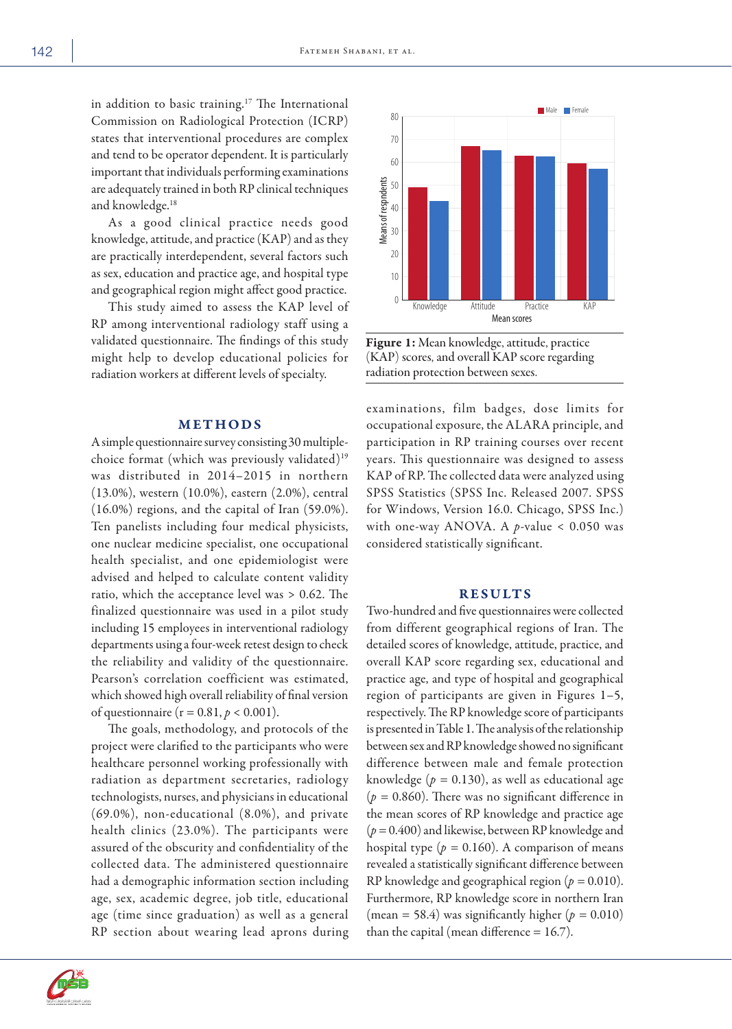in addition to basic training.<sup>17</sup> The International Commission on Radiological Protection (ICRP) states that interventional procedures are complex and tend to be operator dependent. It is particularly important that individuals performing examinations are adequately trained in both RP clinical techniques and knowledge.18

As a good clinical practice needs good knowledge, attitude, and practice (KAP) and as they are practically interdependent, several factors such as sex, education and practice age, and hospital type and geographical region might affect good practice.

This study aimed to assess the KAP level of RP among interventional radiology staff using a validated questionnaire. The findings of this study might help to develop educational policies for radiation workers at different levels of specialty.

### METHODS

A simple questionnaire survey consisting 30 multiplechoice format (which was previously validated)<sup>19</sup> was distributed in 2014–2015 in northern (13.0%), western (10.0%), eastern (2.0%), central (16.0%) regions, and the capital of Iran (59.0%). Ten panelists including four medical physicists, one nuclear medicine specialist, one occupational health specialist, and one epidemiologist were advised and helped to calculate content validity ratio, which the acceptance level was > 0.62. The finalized questionnaire was used in a pilot study including 15 employees in interventional radiology departments using a four-week retest design to check the reliability and validity of the questionnaire. Pearson's correlation coefficient was estimated, which showed high overall reliability of final version of questionnaire ( $r = 0.81, p < 0.001$ ).

The goals, methodology, and protocols of the project were clarified to the participants who were healthcare personnel working professionally with radiation as department secretaries, radiology technologists, nurses, and physicians in educational (69.0%), non-educational (8.0%), and private health clinics (23.0%). The participants were assured of the obscurity and confidentiality of the collected data. The administered questionnaire had a demographic information section including age, sex, academic degree, job title, educational age (time since graduation) as well as a general RP section about wearing lead aprons during



Figure 1: Mean knowledge, attitude, practice (KAP) scores, and overall KAP score regarding radiation protection between sexes.

examinations, film badges, dose limits for occupational exposure, the ALARA principle, and participation in RP training courses over recent years. This questionnaire was designed to assess KAP of RP. The collected data were analyzed using SPSS Statistics (SPSS Inc. Released 2007. SPSS for Windows, Version 16.0. Chicago, SPSS Inc.) with one-way ANOVA. A *p*-value < 0.050 was considered statistically significant.

## RESULTS

Two-hundred and five questionnaires were collected from different geographical regions of Iran. The detailed scores of knowledge, attitude, practice, and overall KAP score regarding sex, educational and practice age, and type of hospital and geographical region of participants are given in Figures 1–5, respectively. The RP knowledge score of participants is presented in Table 1. The analysis of the relationship between sex and RP knowledge showed no significant difference between male and female protection knowledge  $(p = 0.130)$ , as well as educational age  $(p = 0.860)$ . There was no significant difference in the mean scores of RP knowledge and practice age (*p =* 0.400) and likewise, between RP knowledge and hospital type  $(p = 0.160)$ . A comparison of means revealed a statistically significant difference between RP knowledge and geographical region (*p =* 0.010). Furthermore, RP knowledge score in northern Iran (mean = 58.4) was significantly higher  $(p = 0.010)$ than the capital (mean difference = 16.7). Means of respndents

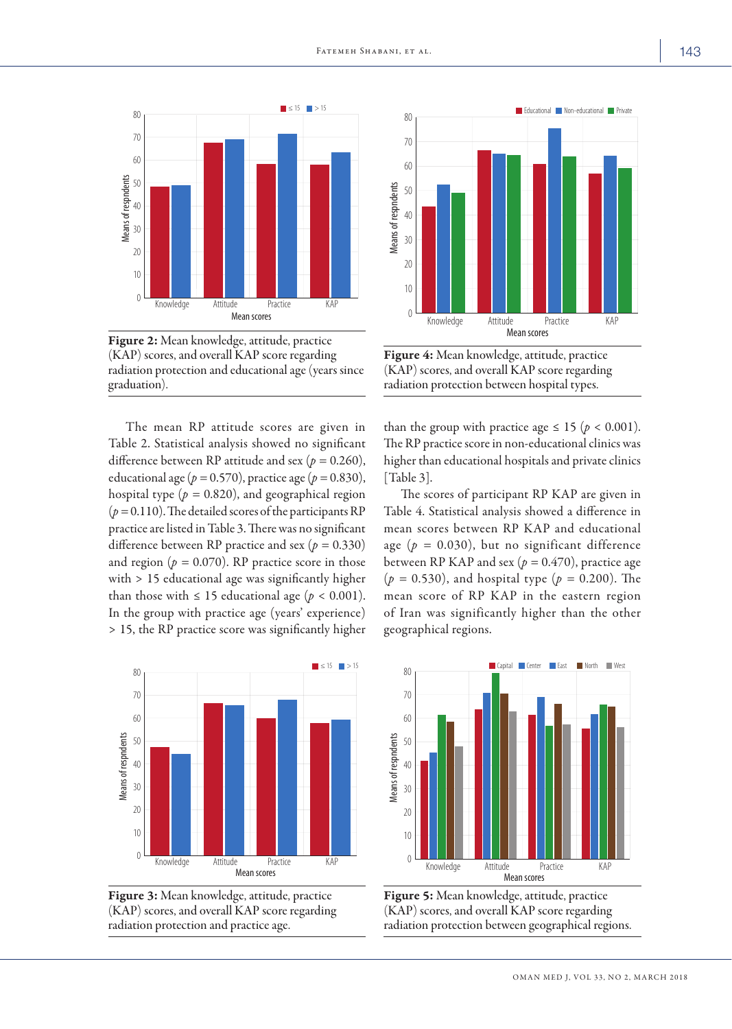

Figure 2: Mean knowledge, attitude, practice (KAP) scores, and overall KAP score regarding radiation protection and educational age (years since graduation).

The mean RP attitude scores are given in Table 2. Statistical analysis showed no significant difference between RP attitude and sex (*p =* 0.260), educational age ( $p = 0.570$ ), practice age ( $p = 0.830$ ), hospital type ( $p = 0.820$ ), and geographical region  $(p = 0.110)$ . The detailed scores of the participants RP practice are listed in Table 3. There was no significant difference between RP practice and sex (*p =* 0.330) and region ( $p = 0.070$ ). RP practice score in those with > 15 educational age was significantly higher than those with  $\leq 15$  educational age ( $p < 0.001$ ). In the group with practice age (years' experience) > 15, the RP practice score was significantly higher







Figure 4: Mean knowledge, attitude, practice (KAP) scores, and overall KAP score regarding radiation protection between hospital types.

than the group with practice age  $\leq 15$  ( $p < 0.001$ ). The RP practice score in non-educational clinics was higher than educational hospitals and private clinics [Table 3].

The scores of participant RP KAP are given in Table 4. Statistical analysis showed a difference in mean scores between RP KAP and educational age  $(p = 0.030)$ , but no significant difference between RP KAP and sex ( $p = 0.470$ ), practice age (*p =* 0.530), and hospital type (*p =* 0.200). The mean score of RP KAP in the eastern region of Iran was significantly higher than the other geographical regions.



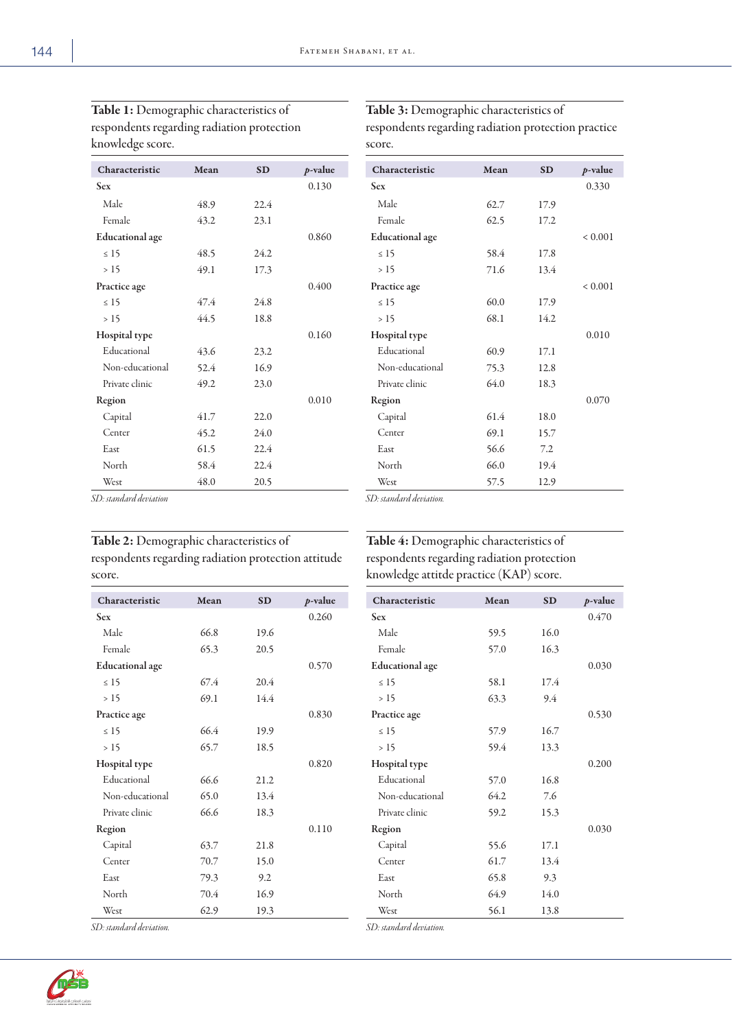| KNOWICAZC SCOIC.       |      |           |            |  |  |  |
|------------------------|------|-----------|------------|--|--|--|
| Characteristic         | Mean | <b>SD</b> | $p$ -value |  |  |  |
| <b>Sex</b>             |      |           | 0.130      |  |  |  |
| Male                   | 48.9 | 22.4      |            |  |  |  |
| Female                 | 43.2 | 23.1      |            |  |  |  |
| <b>Educational</b> age |      |           | 0.860      |  |  |  |
| $\leq 15$              | 48.5 | 24.2      |            |  |  |  |
| >15                    | 49.1 | 17.3      |            |  |  |  |
| Practice age           |      |           | 0.400      |  |  |  |
| $\leq 15$              | 47.4 | 24.8      |            |  |  |  |
| >15                    | 44.5 | 18.8      |            |  |  |  |
| Hospital type          |      |           | 0.160      |  |  |  |
| Educational            | 43.6 | 23.2      |            |  |  |  |
| Non-educational        | 52.4 | 16.9      |            |  |  |  |
| Private clinic         | 49.2 | 23.0      |            |  |  |  |
| Region                 |      |           | 0.010      |  |  |  |
| Capital                | 41.7 | 22.0      |            |  |  |  |
| Center                 | 45.2 | 24.0      |            |  |  |  |
| East                   | 61.5 | 22.4      |            |  |  |  |
| North                  | 58.4 | 22.4      |            |  |  |  |
| West                   | 48.0 | 20.5      |            |  |  |  |

Table 1: Demographic characteristics of respondents regarding radiation protection knowledge score.

# Table 3: Demographic characteristics of

respondents regarding radiation protection practice score.

| Characteristic         | Mean | <b>SD</b> | p-value     |
|------------------------|------|-----------|-------------|
| <b>Sex</b>             |      |           | 0.330       |
| Male                   | 62.7 | 17.9      |             |
| Female                 | 62.5 | 17.2      |             |
| <b>Educational</b> age |      |           | ${}< 0.001$ |
| $\leq 15$              | 58.4 | 17.8      |             |
| >15                    | 71.6 | 13.4      |             |
| Practice age           |      |           | ${}< 0.001$ |
| $\leq 15$              | 60.0 | 17.9      |             |
| >15                    | 68.1 | 14.2      |             |
| Hospital type          |      |           | 0.010       |
| Educational            | 60.9 | 17.1      |             |
| Non-educational        | 75.3 | 12.8      |             |
| Private clinic         | 64.0 | 18.3      |             |
| Region                 |      |           | 0.070       |
| Capital                | 61.4 | 18.0      |             |
| Center                 | 69.1 | 15.7      |             |
| East                   | 56.6 | 7.2       |             |
| North                  | 66.0 | 19.4      |             |
| West                   | 57.5 | 12.9      |             |

*SD: standard deviation*

# Table 2: Demographic characteristics of respondents regarding radiation protection attitude score.

Table 4: Demographic characteristics of respondents regarding radiation protection

knowledge attitde practice (KAP) score.

Male 59.5 16.0 Female 57.0 16.3

≤ 15 58.1 17.4 > 15 63.3 9.4

≤ 15 57.9 16.7 > 15 59.4 13.3

Educational 57.0 16.8 Non-educational 64.2 7.6 Private clinic 59.2 15.3

Capital 55.6 17.1 Center 61.7 13.4 East 65.8 9.3 North 64.9 14.0 West 56.1 13.8

Characteristic Mean SD *p*-value Sex 0.470

Educational age 0.030

Practice age 0.530

Hospital type 0.200

Region 0.030

| Characteristic         | Mean | <b>SD</b> | $p$ -value |
|------------------------|------|-----------|------------|
|                        |      |           |            |
| <b>Sex</b>             |      |           | 0.260      |
| Male                   | 66.8 | 19.6      |            |
| Female                 | 65.3 | 20.5      |            |
| <b>Educational</b> age |      |           | 0.570      |
| $\leq 15$              | 67.4 | 20.4      |            |
| >15                    | 69.1 | 14.4      |            |
| Practice age           |      |           | 0.830      |
| $\leq 15$              | 66.4 | 19.9      |            |
| >15                    | 65.7 | 18.5      |            |
| Hospital type          |      |           | 0.820      |
| Educational            | 66.6 | 21.2      |            |
| Non-educational        | 65.0 | 13.4      |            |
| Private clinic         | 66.6 | 18.3      |            |
| Region                 |      |           | 0.110      |
| Capital                | 63.7 | 21.8      |            |
| Center                 | 70.7 | 15.0      |            |
| East                   | 79.3 | 9.2       |            |
| North                  | 70.4 | 16.9      |            |
| West                   | 62.9 | 19.3      |            |

*SD: standard deviation.*



*SD: standard deviation.*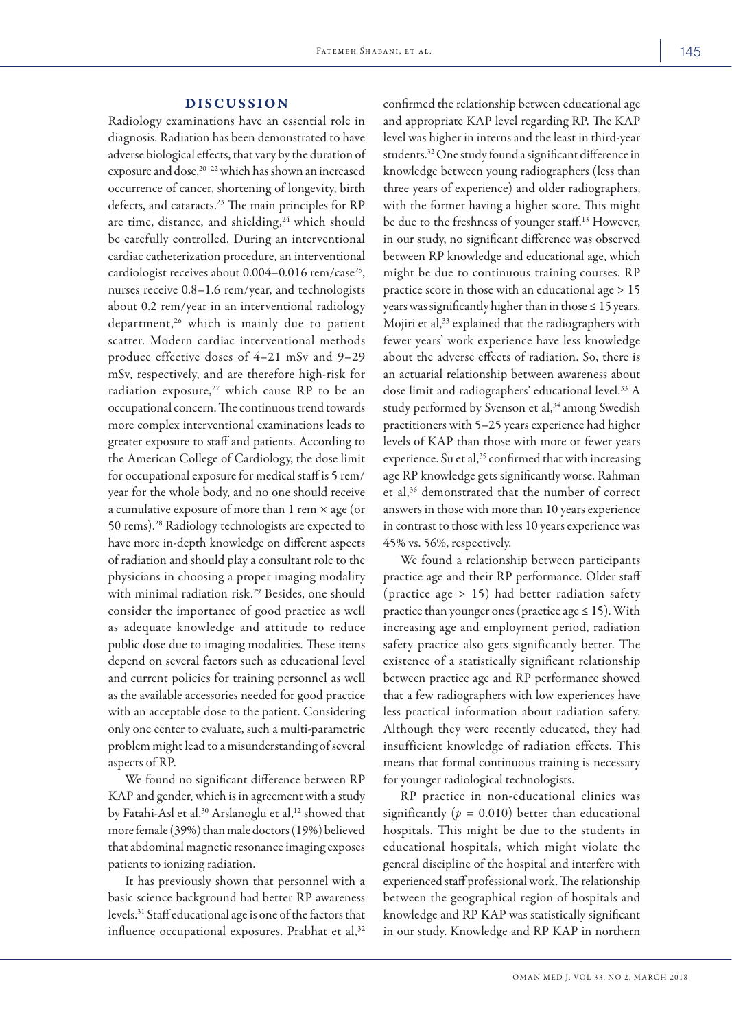#### DISCUSSION

Radiology examinations have an essential role in diagnosis. Radiation has been demonstrated to have adverse biological effects, that vary by the duration of exposure and dose,<sup>20-22</sup> which has shown an increased occurrence of cancer, shortening of longevity, birth defects, and cataracts.<sup>23</sup> The main principles for RP are time, distance, and shielding,<sup>24</sup> which should be carefully controlled. During an interventional cardiac catheterization procedure, an interventional cardiologist receives about  $0.004-0.016$  rem/case<sup>25</sup>, nurses receive 0.8–1.6 rem/year, and technologists about 0.2 rem/year in an interventional radiology department,<sup>26</sup> which is mainly due to patient scatter. Modern cardiac interventional methods produce effective doses of 4–21 mSv and 9–29 mSv, respectively, and are therefore high-risk for radiation exposure, $27$  which cause RP to be an occupational concern. The continuous trend towards more complex interventional examinations leads to greater exposure to staff and patients. According to the American College of Cardiology, the dose limit for occupational exposure for medical staff is 5 rem/ year for the whole body, and no one should receive a cumulative exposure of more than  $1$  rem  $\times$  age (or 50 rems).28 Radiology technologists are expected to have more in-depth knowledge on different aspects of radiation and should play a consultant role to the physicians in choosing a proper imaging modality with minimal radiation risk.<sup>29</sup> Besides, one should consider the importance of good practice as well as adequate knowledge and attitude to reduce public dose due to imaging modalities. These items depend on several factors such as educational level and current policies for training personnel as well as the available accessories needed for good practice with an acceptable dose to the patient. Considering only one center to evaluate, such a multi-parametric problem might lead to a misunderstanding of several aspects of RP.

We found no significant difference between RP KAP and gender, which is in agreement with a study by Fatahi-Asl et al.<sup>30</sup> Arslanoglu et al,<sup>12</sup> showed that more female (39%) than male doctors (19%) believed that abdominal magnetic resonance imaging exposes patients to ionizing radiation.

It has previously shown that personnel with a basic science background had better RP awareness levels.31 Staff educational age is one of the factors that influence occupational exposures. Prabhat et al, $32$  confirmed the relationship between educational age and appropriate KAP level regarding RP. The KAP level was higher in interns and the least in third-year students.32 One study found a significant difference in knowledge between young radiographers (less than three years of experience) and older radiographers, with the former having a higher score. This might be due to the freshness of younger staff.13 However, in our study, no significant difference was observed between RP knowledge and educational age, which might be due to continuous training courses. RP practice score in those with an educational age > 15 years was significantly higher than in those  $\leq 15$  years. Mojiri et al,<sup>33</sup> explained that the radiographers with fewer years' work experience have less knowledge about the adverse effects of radiation. So, there is an actuarial relationship between awareness about dose limit and radiographers' educational level.<sup>33</sup> A study performed by Svenson et al,<sup>34</sup> among Swedish practitioners with 5–25 years experience had higher levels of KAP than those with more or fewer years experience. Su et al,<sup>35</sup> confirmed that with increasing age RP knowledge gets significantly worse. Rahman et al,36 demonstrated that the number of correct answers in those with more than 10 years experience in contrast to those with less 10 years experience was 45% vs. 56%, respectively.

We found a relationship between participants practice age and their RP performance. Older staff (practice age > 15) had better radiation safety practice than younger ones (practice age  $\leq 15$ ). With increasing age and employment period, radiation safety practice also gets significantly better. The existence of a statistically significant relationship between practice age and RP performance showed that a few radiographers with low experiences have less practical information about radiation safety. Although they were recently educated, they had insufficient knowledge of radiation effects. This means that formal continuous training is necessary for younger radiological technologists.

RP practice in non-educational clinics was significantly  $(p = 0.010)$  better than educational hospitals. This might be due to the students in educational hospitals, which might violate the general discipline of the hospital and interfere with experienced staff professional work. The relationship between the geographical region of hospitals and knowledge and RP KAP was statistically significant in our study. Knowledge and RP KAP in northern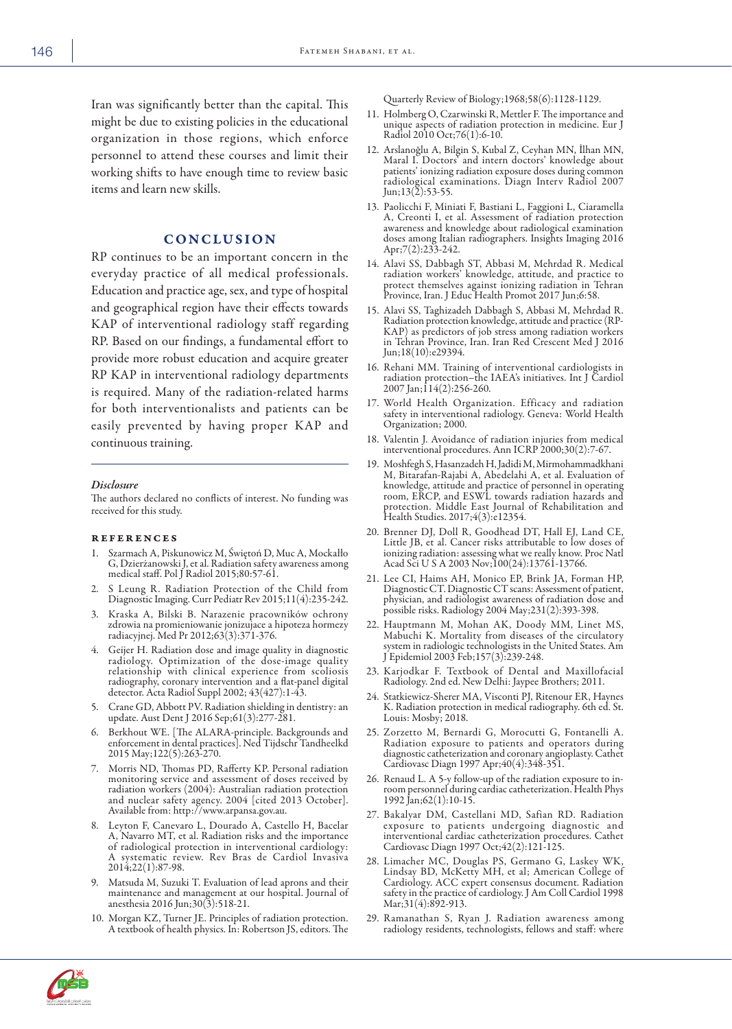Iran was significantly better than the capital. This might be due to existing policies in the educational organization in those regions, which enforce personnel to attend these courses and limit their working shifts to have enough time to review basic items and learn new skills.

### CONCLUSION

RP continues to be an important concern in the everyday practice of all medical professionals. Education and practice age, sex, and type of hospital and geographical region have their effects towards KAP of interventional radiology staff regarding RP. Based on our findings, a fundamental effort to provide more robust education and acquire greater RP KAP in interventional radiology departments is required. Many of the radiation-related harms for both interventionalists and patients can be easily prevented by having proper KAP and continuous training.

#### *Disclosure*

The authors declared no conflicts of interest. No funding was received for this study.

#### **REFERENCES**

- 1. Szarmach A, Piskunowicz M, Świętoń D, Muc A, Mockałło G, Dzierżanowski J, et al. Radiation safety awareness among medical staff. Pol J Radiol 2015;80:57-61.
- 2. S Leung R. Radiation Protection of the Child from Diagnostic Imaging. Curr Pediatr Rev 2015;11(4):235-242.
- 3. Kraska A, Bilski B. Narazenie pracowników ochrony zdrowia na promieniowanie jonizujace a hipoteza hormezy radiacyjnej. Med Pr 2012;63(3):371-376.
- 4. Geijer H. Radiation dose and image quality in diagnostic radiology. Optimization of the dose-image quality relationship with clinical experience from scoliosis radiography, coronary intervention and a flat-panel digital detector. Acta Radiol Suppl 2002; 43(427):1-43.
- 5. Crane GD, Abbott PV. Radiation shielding in dentistry: an update. Aust Dent J 2016 Sep;61(3):277-281.
- 6. Berkhout WE. [The ALARA-principle. Backgrounds and enforcement in dental practices]. Ned Tijdschr Tandheelkd 2015 May;122(5):263-270.
- 7. Morris ND, Thomas PD, Rafferty KP. Personal radiation monitoring service and assessment of doses received by radiation workers (2004): Australian radiation protection and nuclear safety agency. 2004 [cited 2013 October]. Available from: http://www.arpansa.gov.au.
- 8. Leyton F, Canevaro L, Dourado A, Castello H, Bacelar A, Navarro MT, et al. Radiation risks and the importance of radiological protection in interventional cardiology: A systematic review. Rev Bras de Cardiol Invasiva 2014;22(1):87-98.
- 9. Matsuda M, Suzuki T. Evaluation of lead aprons and their maintenance and management at our hospital. Journal of anesthesia 2016 Jun;30(3):518-21.
- 10. Morgan KZ, Turner JE. Principles of radiation protection. A textbook of health physics. In: Robertson JS, editors. The

Quarterly Review of Biology;1968;58(6):1128-1129.

- 11. Holmberg O, Czarwinski R, Mettler F. The importance and unique aspects of radiation protection in medicine. Eur J Radiol 2010 Oct;76(1):6-10.
- 12. Arslanoğlu A, Bilgin S, Kubal Z, Ceyhan MN, İlhan MN, Maral I. Doctors' and intern doctors' knowledge about patients' ionizing radiation exposure doses during common radiological examinations. Diagn Interv Radiol 2007 Jun;  $13(2):$  53-55.
- 13. Paolicchi F, Miniati F, Bastiani L, Faggioni L, Ciaramella A, Creonti I, et al. Assessment of radiation protection awareness and knowledge about radiological examination awareness and knowledge about radiological examination<br>doses among Italian radiographers. Insights Imaging 2016 Apr;7(2):233-242.
- 14. Alavi SS, Dabbagh ST, Abbasi M, Mehrdad R. Medical radiation workers' knowledge, attitude, and practice to protect themselves against ionizing radiation in Tehran Province, Iran. J Educ Health Promot 2017 Jun;6:58.
- 15. Alavi SS, Taghizadeh Dabbagh S, Abbasi M, Mehrdad R. Radiation protection knowledge, attitude and practice (RP-KAP) as predictors of job stress among radiation workers in Tehran Province, Iran. Iran Red Crescent Med J 2016 Jun;18(10):e29394.
- 16. Rehani MM. Training of interventional cardiologists in radiation protection–the IAEA's initiatives. Int J Cardiol 2007 Jan;114(2):256-260.
- 17. World Health Organization. Efficacy and radiation safety in interventional radiology. Geneva: World Health Organization; 2000.
- 18. Valentin J. Avoidance of radiation injuries from medical interventional procedures. Ann ICRP 2000;30(2):7-67.
- 19. Moshfegh S, Hasanzadeh H, Jadidi M, Mirmohammadkhani M, Bitarafan-Rajabi A, Abedelahi A, et al. Evaluation of knowledge, attitude and practice of personnel in operating room, ERCP, and ESWL towards radiation hazards and protection. Middle East Journal of Rehabilitation and Health Studies. 2017;4(3):e12354.
- 20. Brenner DJ, Doll R, Goodhead DT, Hall EJ, Land CE, Little JB, et al. Cancer risks attributable to low doses of ionizing radiation: assessing what we really know. Proc Natl Acad Sci U S A 2003 Nov;100(24):13761-13766.
- 21. Lee CI, Haims AH, Monico EP, Brink JA, Forman HP, physician, and radiologist awareness of radiation dose and possible risks. Radiology 2004 May;231(2):393-398.
- 22. Hauptmann M, Mohan AK, Doody MM, Linet MS, Mabuchi K. Mortality from diseases of the circulatory system in radiologic technologists in the United States. Am J Epidemiol 2003 Feb;157(3):239-248.
- 23. Karjodkar F. Textbook of Dental and Maxillofacial Radiology. 2nd ed. New Delhi: Jaypee Brothers; 2011.
- 24. Statkiewicz-Sherer MA, Visconti PJ, Ritenour ER, Haynes K. Radiation protection in medical radiography. 6th ed. St. Louis: Mosby; 2018.
- 25. Zorzetto M, Bernardi G, Morocutti G, Fontanelli A. Radiation exposure to patients and operators during diagnostic catheterization and coronary angioplasty. Cathet Cardiovasc Diagn 1997 Apr;40(4):348-351.
- 26. Renaud L. A 5-y follow-up of the radiation exposure to inroom personnel during cardiac catheterization. Health Phys 1992 Jan;62(1):10-15.
- 27. Bakalyar DM, Castellani MD, Safian RD. Radiation exposure to patients undergoing diagnostic and interventional cardiac catheterization procedures. Cathet Cardiovasc Diagn 1997 Oct;42(2):121-125.
- 28. Limacher MC, Douglas PS, Germano G, Laskey WK, Lindsay BD, McKetty MH, et al; American College of Cardiology. ACC expert consensus document. Radiation safety in the practice of cardiology. J Am Coll Cardiol 1998 Mar;31(4):892-913.
- 29. Ramanathan S, Ryan J. Radiation awareness among radiology residents, technologists, fellows and staff: where